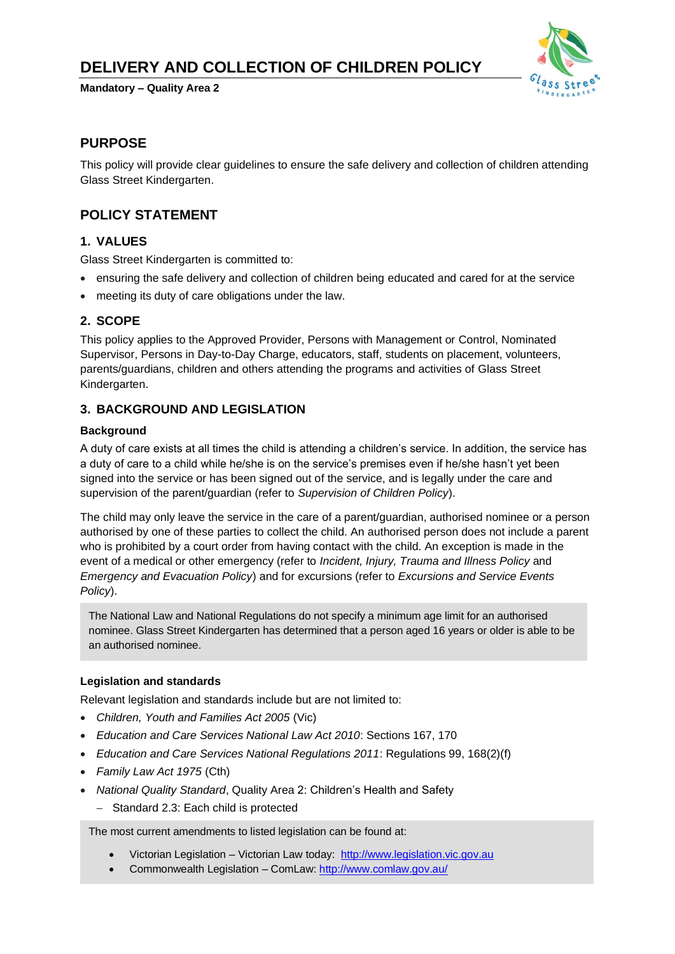# **DELIVERY AND COLLECTION OF CHILDREN POLICY**

**Mandatory – Quality Area 2**



### **PURPOSE**

This policy will provide clear guidelines to ensure the safe delivery and collection of children attending Glass Street Kindergarten.

## **POLICY STATEMENT**

### **1. VALUES**

Glass Street Kindergarten is committed to:

- ensuring the safe delivery and collection of children being educated and cared for at the service
- meeting its duty of care obligations under the law.

### **2. SCOPE**

This policy applies to the Approved Provider, Persons with Management or Control, Nominated Supervisor, Persons in Day-to-Day Charge, educators, staff, students on placement, volunteers, parents/guardians, children and others attending the programs and activities of Glass Street Kindergarten.

### **3. BACKGROUND AND LEGISLATION**

#### **Background**

A duty of care exists at all times the child is attending a children's service. In addition, the service has a duty of care to a child while he/she is on the service's premises even if he/she hasn't yet been signed into the service or has been signed out of the service, and is legally under the care and supervision of the parent/guardian (refer to *Supervision of Children Policy*).

The child may only leave the service in the care of a parent/guardian, authorised nominee or a person authorised by one of these parties to collect the child. An authorised person does not include a parent who is prohibited by a court order from having contact with the child. An exception is made in the event of a medical or other emergency (refer to *Incident, Injury, Trauma and Illness Policy* and *Emergency and Evacuation Policy*) and for excursions (refer to *Excursions and Service Events Policy*).

The National Law and National Regulations do not specify a minimum age limit for an authorised nominee. Glass Street Kindergarten has determined that a person aged 16 years or older is able to be an authorised nominee.

### **Legislation and standards**

Relevant legislation and standards include but are not limited to:

- *Children, Youth and Families Act 2005* (Vic)
- *Education and Care Services National Law Act 2010*: Sections 167, 170
- *Education and Care Services National Regulations 2011*: Regulations 99, 168(2)(f)
- *Family Law Act 1975* (Cth)
- *National Quality Standard*, Quality Area 2: Children's Health and Safety
	- − Standard 2.3: Each child is protected

The most current amendments to listed legislation can be found at:

- Victorian Legislation Victorian Law today: [http://www.legislation.vic.gov.au](http://www.legislation.vic.gov.au/)
- Commonwealth Legislation ComLaw[: http://www.comlaw.gov.au/](http://www.comlaw.gov.au/)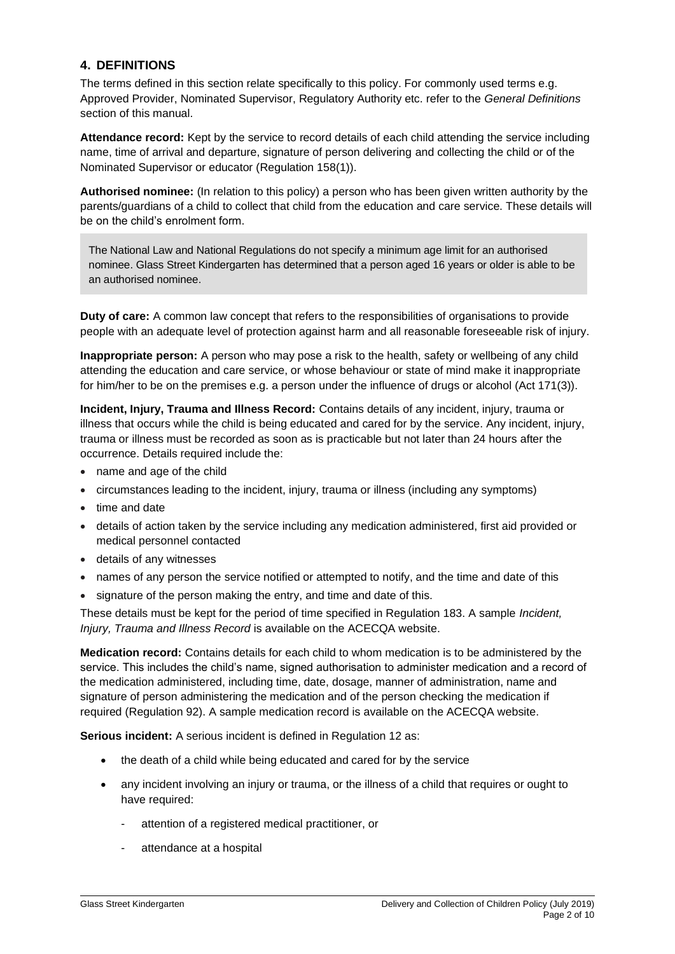### **4. DEFINITIONS**

The terms defined in this section relate specifically to this policy. For commonly used terms e.g. Approved Provider, Nominated Supervisor, Regulatory Authority etc. refer to the *General Definitions* section of this manual.

**Attendance record:** Kept by the service to record details of each child attending the service including name, time of arrival and departure, signature of person delivering and collecting the child or of the Nominated Supervisor or educator (Regulation 158(1)).

**Authorised nominee:** (In relation to this policy) a person who has been given written authority by the parents/guardians of a child to collect that child from the education and care service. These details will be on the child's enrolment form.

The National Law and National Regulations do not specify a minimum age limit for an authorised nominee. Glass Street Kindergarten has determined that a person aged 16 years or older is able to be an authorised nominee.

**Duty of care:** A common law concept that refers to the responsibilities of organisations to provide people with an adequate level of protection against harm and all reasonable foreseeable risk of injury.

**Inappropriate person:** A person who may pose a risk to the health, safety or wellbeing of any child attending the education and care service, or whose behaviour or state of mind make it inappropriate for him/her to be on the premises e.g. a person under the influence of drugs or alcohol (Act 171(3)).

**Incident, Injury, Trauma and Illness Record:** Contains details of any incident, injury, trauma or illness that occurs while the child is being educated and cared for by the service. Any incident, injury, trauma or illness must be recorded as soon as is practicable but not later than 24 hours after the occurrence. Details required include the:

- name and age of the child
- circumstances leading to the incident, injury, trauma or illness (including any symptoms)
- time and date
- details of action taken by the service including any medication administered, first aid provided or medical personnel contacted
- details of any witnesses
- names of any person the service notified or attempted to notify, and the time and date of this
- signature of the person making the entry, and time and date of this.

These details must be kept for the period of time specified in Regulation 183. A sample *Incident, Injury, Trauma and Illness Record* is available on the ACECQA website.

**Medication record:** Contains details for each child to whom medication is to be administered by the service. This includes the child's name, signed authorisation to administer medication and a record of the medication administered, including time, date, dosage, manner of administration, name and signature of person administering the medication and of the person checking the medication if required (Regulation 92). A sample medication record is available on the ACECQA website.

**Serious incident:** A serious incident is defined in Regulation 12 as:

- the death of a child while being educated and cared for by the service
- any incident involving an injury or trauma, or the illness of a child that requires or ought to have required:
	- attention of a registered medical practitioner, or
	- attendance at a hospital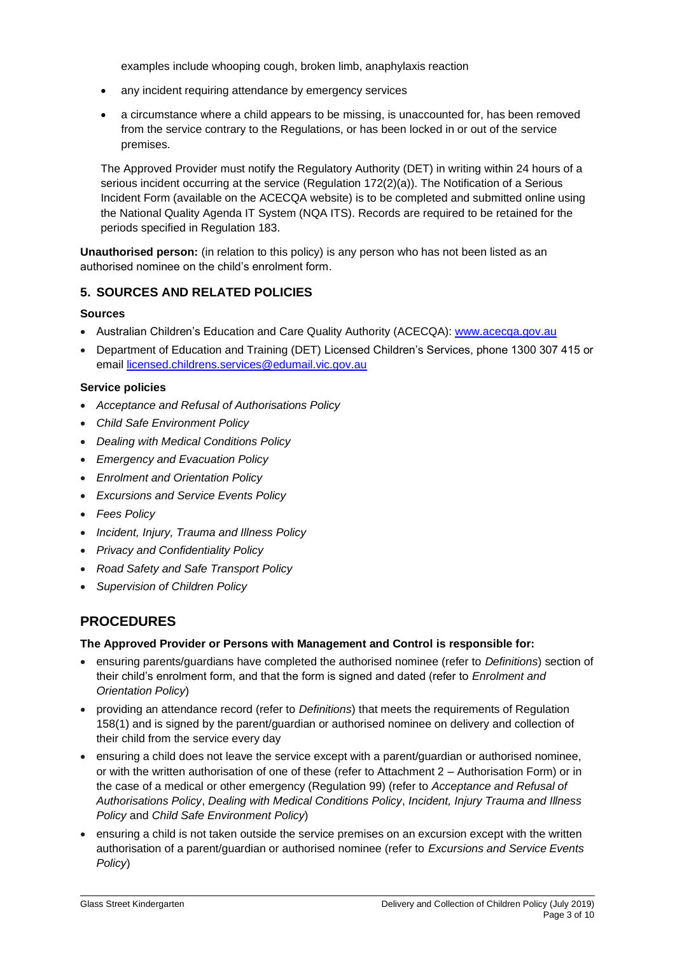examples include whooping cough, broken limb, anaphylaxis reaction

- any incident requiring attendance by emergency services
- a circumstance where a child appears to be missing, is unaccounted for, has been removed from the service contrary to the Regulations, or has been locked in or out of the service premises.

The Approved Provider must notify the Regulatory Authority (DET) in writing within 24 hours of a serious incident occurring at the service (Regulation 172(2)(a)). The Notification of a Serious Incident Form (available on the ACECQA website) is to be completed and submitted online using the National Quality Agenda IT System (NQA ITS). Records are required to be retained for the periods specified in Regulation 183.

**Unauthorised person:** (in relation to this policy) is any person who has not been listed as an authorised nominee on the child's enrolment form.

### **5. SOURCES AND RELATED POLICIES**

#### **Sources**

- Australian Children's Education and Care Quality Authority (ACECQA): [www.acecqa.gov.au](http://www.acecqa.gov.au/)
- Department of Education and Training (DET) Licensed Children's Services, phone 1300 307 415 or email [licensed.childrens.services@edumail.vic.gov.au](mailto:licensed.childrens.services@edumail.vic.gov.au)

#### **Service policies**

- *Acceptance and Refusal of Authorisations Policy*
- *Child Safe Environment Policy*
- *Dealing with Medical Conditions Policy*
- *Emergency and Evacuation Policy*
- *Enrolment and Orientation Policy*
- *Excursions and Service Events Policy*
- *Fees Policy*
- *Incident, Injury, Trauma and Illness Policy*
- *Privacy and Confidentiality Policy*
- *Road Safety and Safe Transport Policy*
- *Supervision of Children Policy*

### **PROCEDURES**

#### **The Approved Provider or Persons with Management and Control is responsible for:**

- ensuring parents/guardians have completed the authorised nominee (refer to *Definitions*) section of their child's enrolment form, and that the form is signed and dated (refer to *Enrolment and Orientation Policy*)
- providing an attendance record (refer to *Definitions*) that meets the requirements of Regulation 158(1) and is signed by the parent/guardian or authorised nominee on delivery and collection of their child from the service every day
- ensuring a child does not leave the service except with a parent/guardian or authorised nominee, or with the written authorisation of one of these (refer to Attachment 2 – Authorisation Form) or in the case of a medical or other emergency (Regulation 99) (refer to *Acceptance and Refusal of Authorisations Policy*, *Dealing with Medical Conditions Policy*, *Incident, Injury Trauma and Illness Policy* and *Child Safe Environment Policy*)
- ensuring a child is not taken outside the service premises on an excursion except with the written authorisation of a parent/guardian or authorised nominee (refer to *Excursions and Service Events Policy*)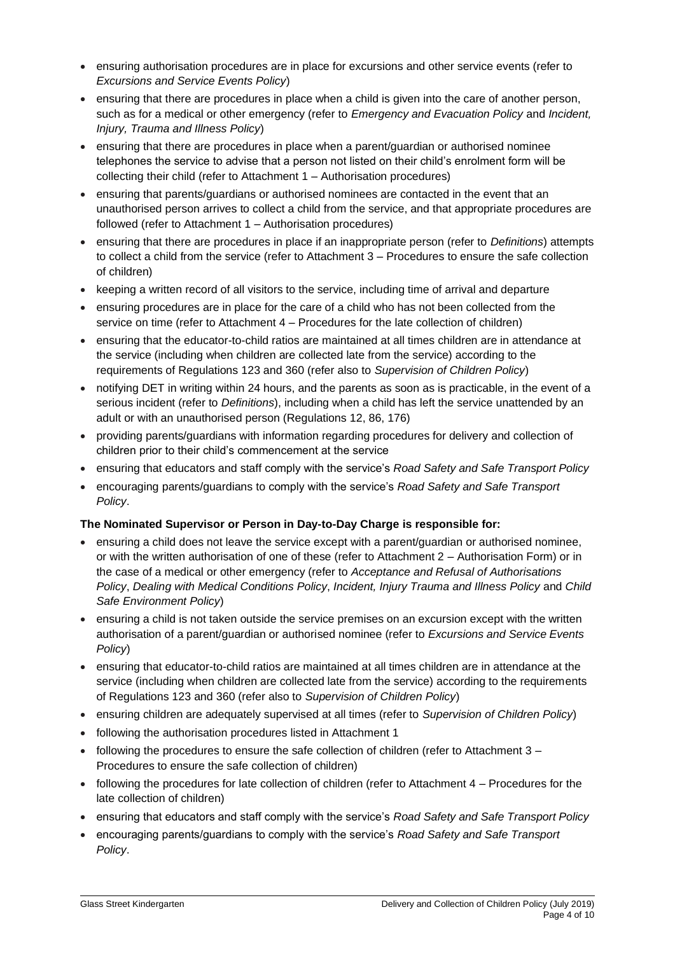- ensuring authorisation procedures are in place for excursions and other service events (refer to *Excursions and Service Events Policy*)
- ensuring that there are procedures in place when a child is given into the care of another person, such as for a medical or other emergency (refer to *Emergency and Evacuation Policy* and *Incident, Injury, Trauma and Illness Policy*)
- ensuring that there are procedures in place when a parent/guardian or authorised nominee telephones the service to advise that a person not listed on their child's enrolment form will be collecting their child (refer to Attachment 1 – Authorisation procedures)
- ensuring that parents/guardians or authorised nominees are contacted in the event that an unauthorised person arrives to collect a child from the service, and that appropriate procedures are followed (refer to Attachment 1 – Authorisation procedures)
- ensuring that there are procedures in place if an inappropriate person (refer to *Definitions*) attempts to collect a child from the service (refer to Attachment 3 – Procedures to ensure the safe collection of children)
- keeping a written record of all visitors to the service, including time of arrival and departure
- ensuring procedures are in place for the care of a child who has not been collected from the service on time (refer to Attachment 4 – Procedures for the late collection of children)
- ensuring that the educator-to-child ratios are maintained at all times children are in attendance at the service (including when children are collected late from the service) according to the requirements of Regulations 123 and 360 (refer also to *Supervision of Children Policy*)
- notifying DET in writing within 24 hours, and the parents as soon as is practicable, in the event of a serious incident (refer to *Definitions*), including when a child has left the service unattended by an adult or with an unauthorised person (Regulations 12, 86, 176)
- providing parents/guardians with information regarding procedures for delivery and collection of children prior to their child's commencement at the service
- ensuring that educators and staff comply with the service's *Road Safety and Safe Transport Policy*
- encouraging parents/guardians to comply with the service's *Road Safety and Safe Transport Policy*.

### **The Nominated Supervisor or Person in Day-to-Day Charge is responsible for:**

- ensuring a child does not leave the service except with a parent/guardian or authorised nominee, or with the written authorisation of one of these (refer to Attachment 2 – Authorisation Form) or in the case of a medical or other emergency (refer to *Acceptance and Refusal of Authorisations Policy*, *Dealing with Medical Conditions Policy*, *Incident, Injury Trauma and Illness Policy* and *Child Safe Environment Policy*)
- ensuring a child is not taken outside the service premises on an excursion except with the written authorisation of a parent/guardian or authorised nominee (refer to *Excursions and Service Events Policy*)
- ensuring that educator-to-child ratios are maintained at all times children are in attendance at the service (including when children are collected late from the service) according to the requirements of Regulations 123 and 360 (refer also to *Supervision of Children Policy*)
- ensuring children are adequately supervised at all times (refer to *Supervision of Children Policy*)
- following the authorisation procedures listed in Attachment 1
- following the procedures to ensure the safe collection of children (refer to Attachment  $3 -$ Procedures to ensure the safe collection of children)
- following the procedures for late collection of children (refer to Attachment 4 Procedures for the late collection of children)
- ensuring that educators and staff comply with the service's *Road Safety and Safe Transport Policy*
- encouraging parents/guardians to comply with the service's *Road Safety and Safe Transport Policy*.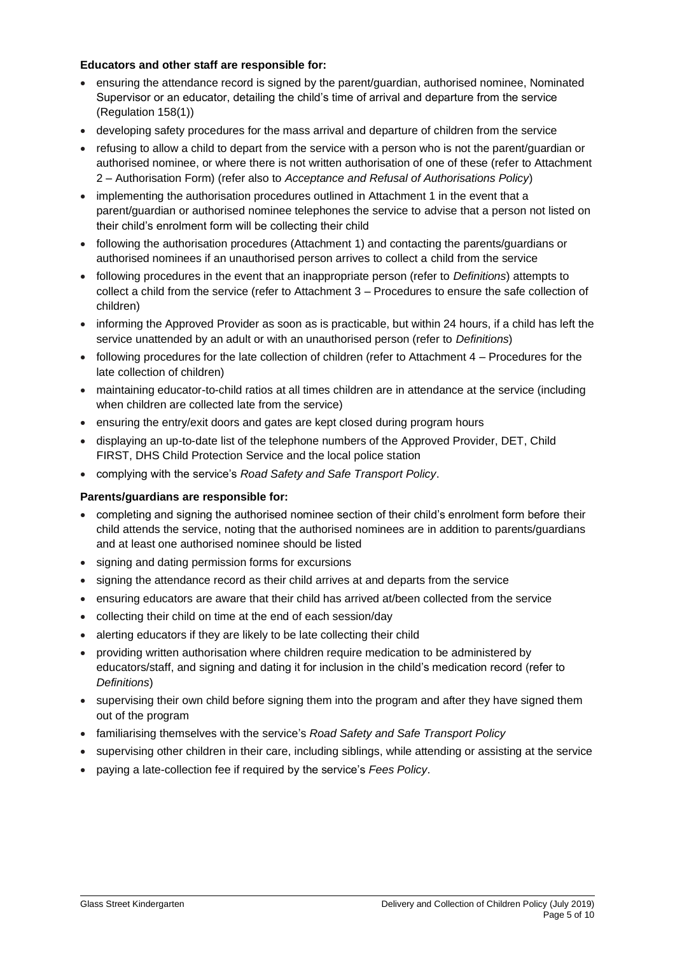#### **Educators and other staff are responsible for:**

- ensuring the attendance record is signed by the parent/guardian, authorised nominee, Nominated Supervisor or an educator, detailing the child's time of arrival and departure from the service (Regulation 158(1))
- developing safety procedures for the mass arrival and departure of children from the service
- refusing to allow a child to depart from the service with a person who is not the parent/guardian or authorised nominee, or where there is not written authorisation of one of these (refer to Attachment 2 – Authorisation Form) (refer also to *Acceptance and Refusal of Authorisations Policy*)
- implementing the authorisation procedures outlined in Attachment 1 in the event that a parent/guardian or authorised nominee telephones the service to advise that a person not listed on their child's enrolment form will be collecting their child
- following the authorisation procedures (Attachment 1) and contacting the parents/guardians or authorised nominees if an unauthorised person arrives to collect a child from the service
- following procedures in the event that an inappropriate person (refer to *Definitions*) attempts to collect a child from the service (refer to Attachment 3 – Procedures to ensure the safe collection of children)
- informing the Approved Provider as soon as is practicable, but within 24 hours, if a child has left the service unattended by an adult or with an unauthorised person (refer to *Definitions*)
- following procedures for the late collection of children (refer to Attachment 4 Procedures for the late collection of children)
- maintaining educator-to-child ratios at all times children are in attendance at the service (including when children are collected late from the service)
- ensuring the entry/exit doors and gates are kept closed during program hours
- displaying an up-to-date list of the telephone numbers of the Approved Provider, DET, Child FIRST, DHS Child Protection Service and the local police station
- complying with the service's *Road Safety and Safe Transport Policy*.

### **Parents/guardians are responsible for:**

- completing and signing the authorised nominee section of their child's enrolment form before their child attends the service, noting that the authorised nominees are in addition to parents/guardians and at least one authorised nominee should be listed
- signing and dating permission forms for excursions
- signing the attendance record as their child arrives at and departs from the service
- ensuring educators are aware that their child has arrived at/been collected from the service
- collecting their child on time at the end of each session/day
- alerting educators if they are likely to be late collecting their child
- providing written authorisation where children require medication to be administered by educators/staff, and signing and dating it for inclusion in the child's medication record (refer to *Definitions*)
- supervising their own child before signing them into the program and after they have signed them out of the program
- familiarising themselves with the service's *Road Safety and Safe Transport Policy*
- supervising other children in their care, including siblings, while attending or assisting at the service
- paying a late-collection fee if required by the service's *Fees Policy*.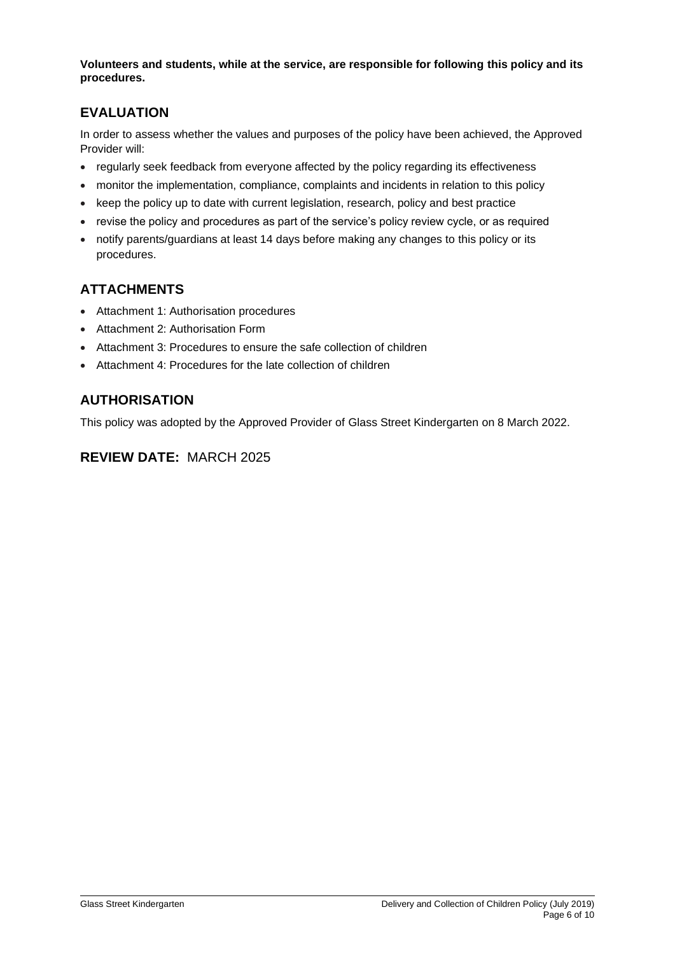**Volunteers and students, while at the service, are responsible for following this policy and its procedures.**

# **EVALUATION**

In order to assess whether the values and purposes of the policy have been achieved, the Approved Provider will:

- regularly seek feedback from everyone affected by the policy regarding its effectiveness
- monitor the implementation, compliance, complaints and incidents in relation to this policy
- keep the policy up to date with current legislation, research, policy and best practice
- revise the policy and procedures as part of the service's policy review cycle, or as required
- notify parents/guardians at least 14 days before making any changes to this policy or its procedures.

# **ATTACHMENTS**

- Attachment 1: Authorisation procedures
- Attachment 2: Authorisation Form
- Attachment 3: Procedures to ensure the safe collection of children
- Attachment 4: Procedures for the late collection of children

# **AUTHORISATION**

This policy was adopted by the Approved Provider of Glass Street Kindergarten on 8 March 2022.

# **REVIEW DATE:** MARCH 2025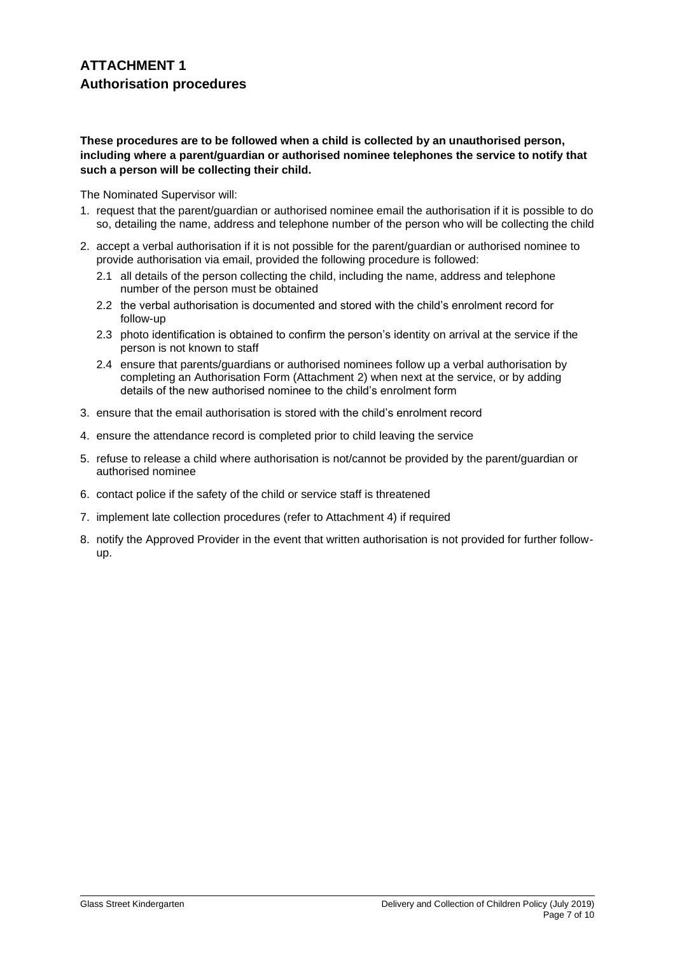#### **These procedures are to be followed when a child is collected by an unauthorised person, including where a parent/guardian or authorised nominee telephones the service to notify that such a person will be collecting their child.**

The Nominated Supervisor will:

- 1. request that the parent/guardian or authorised nominee email the authorisation if it is possible to do so, detailing the name, address and telephone number of the person who will be collecting the child
- 2. accept a verbal authorisation if it is not possible for the parent/guardian or authorised nominee to provide authorisation via email, provided the following procedure is followed:
	- 2.1 all details of the person collecting the child, including the name, address and telephone number of the person must be obtained
	- 2.2 the verbal authorisation is documented and stored with the child's enrolment record for follow-up
	- 2.3 photo identification is obtained to confirm the person's identity on arrival at the service if the person is not known to staff
	- 2.4 ensure that parents/guardians or authorised nominees follow up a verbal authorisation by completing an Authorisation Form (Attachment 2) when next at the service, or by adding details of the new authorised nominee to the child's enrolment form
- 3. ensure that the email authorisation is stored with the child's enrolment record
- 4. ensure the attendance record is completed prior to child leaving the service
- 5. refuse to release a child where authorisation is not/cannot be provided by the parent/guardian or authorised nominee
- 6. contact police if the safety of the child or service staff is threatened
- 7. implement late collection procedures (refer to Attachment 4) if required
- 8. notify the Approved Provider in the event that written authorisation is not provided for further followup.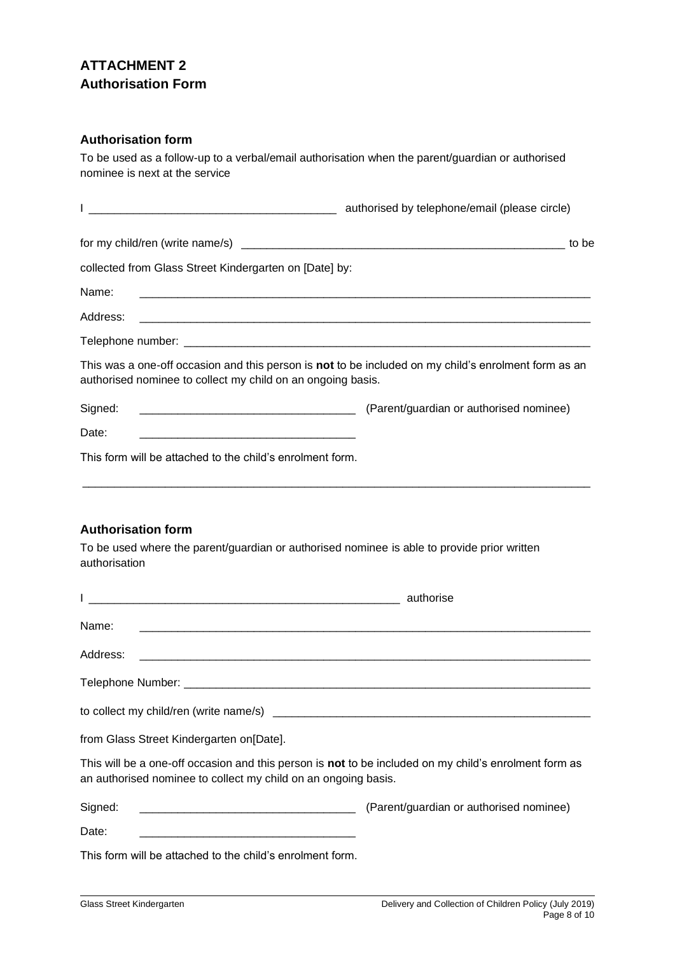# **ATTACHMENT 2 Authorisation Form**

### **Authorisation form**

To be used as a follow-up to a verbal/email authorisation when the parent/guardian or authorised nominee is next at the service

|                                                                                                                                                                     | authorised by telephone/email (please circle)                                   |
|---------------------------------------------------------------------------------------------------------------------------------------------------------------------|---------------------------------------------------------------------------------|
|                                                                                                                                                                     | to be                                                                           |
| collected from Glass Street Kindergarten on [Date] by:                                                                                                              |                                                                                 |
| Name:                                                                                                                                                               |                                                                                 |
|                                                                                                                                                                     |                                                                                 |
|                                                                                                                                                                     |                                                                                 |
| This was a one-off occasion and this person is not to be included on my child's enrolment form as an<br>authorised nominee to collect my child on an ongoing basis. |                                                                                 |
| Signed:                                                                                                                                                             | [Parent/guardian or authorised nominee] (Parent/guardian or authorised nominee) |
| Date:                                                                                                                                                               |                                                                                 |
| This form will be attached to the child's enrolment form.                                                                                                           |                                                                                 |

### **Authorisation form**

To be used where the parent/guardian or authorised nominee is able to provide prior written authorisation

| Name:                                                                                                                                                                   |  |
|-------------------------------------------------------------------------------------------------------------------------------------------------------------------------|--|
|                                                                                                                                                                         |  |
|                                                                                                                                                                         |  |
|                                                                                                                                                                         |  |
| from Glass Street Kindergarten on [Date].                                                                                                                               |  |
| This will be a one-off occasion and this person is not to be included on my child's enrolment form as<br>an authorised nominee to collect my child on an ongoing basis. |  |
| Signed:<br>(Parent/guardian or authorised nominee) (Farent/guardian or authorised nominee)                                                                              |  |
| Date:                                                                                                                                                                   |  |
| This form will be attached to the child's enrolment form.                                                                                                               |  |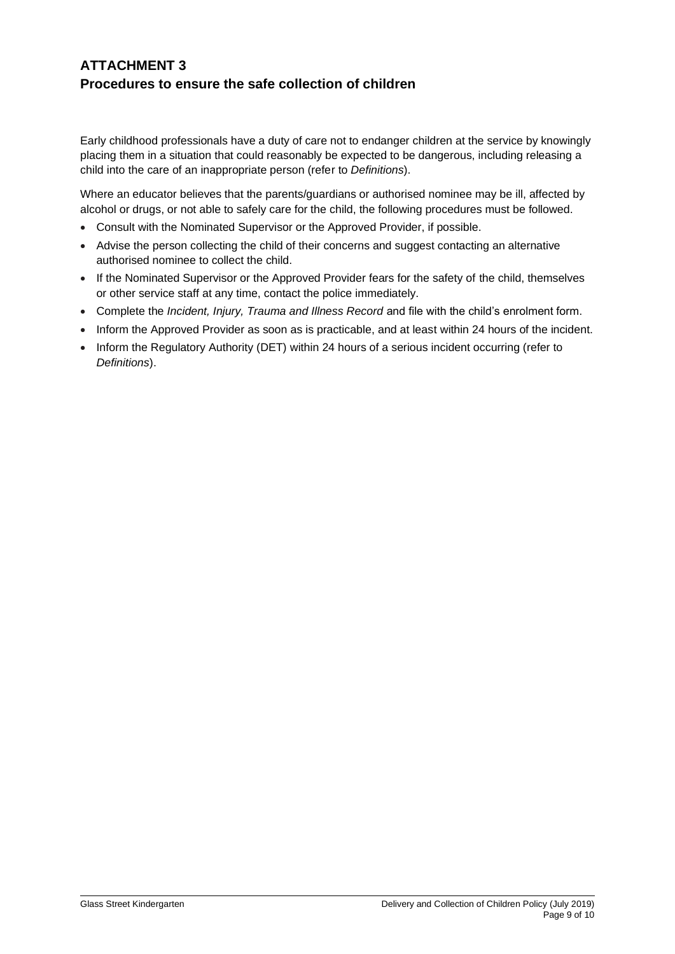# **ATTACHMENT 3 Procedures to ensure the safe collection of children**

Early childhood professionals have a duty of care not to endanger children at the service by knowingly placing them in a situation that could reasonably be expected to be dangerous, including releasing a child into the care of an inappropriate person (refer to *Definitions*).

Where an educator believes that the parents/guardians or authorised nominee may be ill, affected by alcohol or drugs, or not able to safely care for the child, the following procedures must be followed.

- Consult with the Nominated Supervisor or the Approved Provider, if possible.
- Advise the person collecting the child of their concerns and suggest contacting an alternative authorised nominee to collect the child.
- If the Nominated Supervisor or the Approved Provider fears for the safety of the child, themselves or other service staff at any time, contact the police immediately.
- Complete the *Incident, Injury, Trauma and Illness Record* and file with the child's enrolment form.
- Inform the Approved Provider as soon as is practicable, and at least within 24 hours of the incident.
- Inform the Regulatory Authority (DET) within 24 hours of a serious incident occurring (refer to *Definitions*).